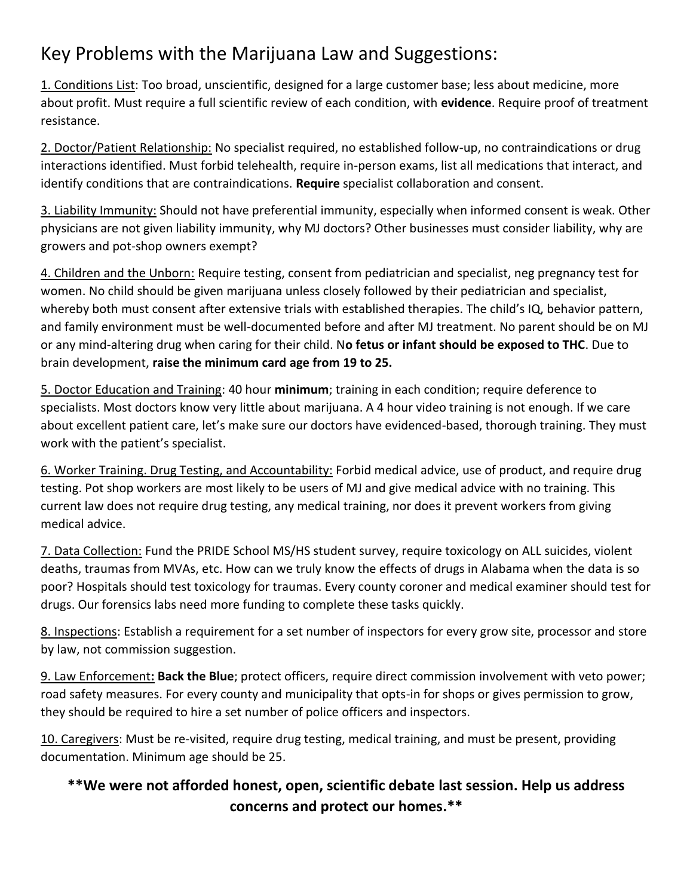## Key Problems with the Marijuana Law and Suggestions:

1. Conditions List: Too broad, unscientific, designed for a large customer base; less about medicine, more about profit. Must require a full scientific review of each condition, with **evidence**. Require proof of treatment resistance.

2. Doctor/Patient Relationship: No specialist required, no established follow-up, no contraindications or drug interactions identified. Must forbid telehealth, require in-person exams, list all medications that interact, and identify conditions that are contraindications. **Require** specialist collaboration and consent.

3. Liability Immunity: Should not have preferential immunity, especially when informed consent is weak. Other physicians are not given liability immunity, why MJ doctors? Other businesses must consider liability, why are growers and pot-shop owners exempt?

4. Children and the Unborn: Require testing, consent from pediatrician and specialist, neg pregnancy test for women. No child should be given marijuana unless closely followed by their pediatrician and specialist, whereby both must consent after extensive trials with established therapies. The child's IQ, behavior pattern, and family environment must be well-documented before and after MJ treatment. No parent should be on MJ or any mind-altering drug when caring for their child. N**o fetus or infant should be exposed to THC**. Due to brain development, **raise the minimum card age from 19 to 25.**

5. Doctor Education and Training: 40 hour **minimum**; training in each condition; require deference to specialists. Most doctors know very little about marijuana. A 4 hour video training is not enough. If we care about excellent patient care, let's make sure our doctors have evidenced-based, thorough training. They must work with the patient's specialist.

6. Worker Training. Drug Testing, and Accountability: Forbid medical advice, use of product, and require drug testing. Pot shop workers are most likely to be users of MJ and give medical advice with no training. This current law does not require drug testing, any medical training, nor does it prevent workers from giving medical advice.

7. Data Collection: Fund the PRIDE School MS/HS student survey, require toxicology on ALL suicides, violent deaths, traumas from MVAs, etc. How can we truly know the effects of drugs in Alabama when the data is so poor? Hospitals should test toxicology for traumas. Every county coroner and medical examiner should test for drugs. Our forensics labs need more funding to complete these tasks quickly.

8. Inspections: Establish a requirement for a set number of inspectors for every grow site, processor and store by law, not commission suggestion.

9. Law Enforcement**: Back the Blue**; protect officers, require direct commission involvement with veto power; road safety measures. For every county and municipality that opts-in for shops or gives permission to grow, they should be required to hire a set number of police officers and inspectors.

10. Caregivers: Must be re-visited, require drug testing, medical training, and must be present, providing documentation. Minimum age should be 25.

## **\*\*We were not afforded honest, open, scientific debate last session. Help us address concerns and protect our homes.\*\***